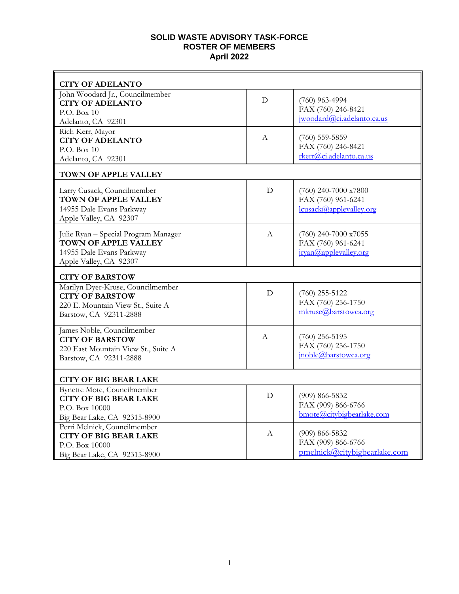## **SOLID WASTE ADVISORY TASK-FORCE ROSTER OF MEMBERS April 2022**

| <b>CITY OF ADELANTO</b>                                                                                                    |                  |                                                                          |
|----------------------------------------------------------------------------------------------------------------------------|------------------|--------------------------------------------------------------------------|
| John Woodard Jr., Councilmember<br><b>CITY OF ADELANTO</b>                                                                 | D                | $(760)$ 963-4994<br>FAX (760) 246-8421                                   |
| P.O. Box $10$<br>Adelanto, CA 92301                                                                                        |                  | jwoodard@ci.adelanto.ca.us                                               |
| Rich Kerr, Mayor<br><b>CITY OF ADELANTO</b><br>P.O. Box 10<br>Adelanto, CA 92301                                           | A                | $(760)$ 559-5859<br>FAX (760) 246-8421<br>rkerr@ci.adelanto.ca.us        |
| <b>TOWN OF APPLE VALLEY</b>                                                                                                |                  |                                                                          |
| Larry Cusack, Councilmember<br><b>TOWN OF APPLE VALLEY</b><br>14955 Dale Evans Parkway<br>Apple Valley, CA 92307           | D                | $(760)$ 240-7000 x7800<br>FAX (760) 961-6241<br>lcusack@applevalley.org  |
| Julie Ryan - Special Program Manager<br><b>TOWN OF APPLE VALLEY</b><br>14955 Dale Evans Parkway<br>Apple Valley, CA 92307  | A                | $(760)$ 240-7000 x7055<br>FAX (760) 961-6241<br>irvan@applevalley.org    |
| <b>CITY OF BARSTOW</b>                                                                                                     |                  |                                                                          |
| Marilyn Dyer-Kruse, Councilmember<br><b>CITY OF BARSTOW</b><br>220 E. Mountain View St., Suite A<br>Barstow, CA 92311-2888 | D                | $(760)$ 255-5122<br>FAX (760) 256-1750<br>mkruse@barstowca.org           |
| James Noble, Councilmember<br><b>CITY OF BARSTOW</b><br>220 East Mountain View St., Suite A<br>Barstow, CA 92311-2888      | А                | $(760)$ 256-5195<br>FAX (760) 256-1750<br>jnoble@barstowca.org           |
| <b>CITY OF BIG BEAR LAKE</b>                                                                                               |                  |                                                                          |
| Bynette Mote, Councilmember<br><b>CITY OF BIG BEAR LAKE</b><br>P.O. Box 10000<br>Big Bear Lake, CA 92315-8900              | D                | $(909) 866 - 5832$<br>FAX (909) 866-6766<br>bmote@citybigbearlake.com    |
| Perri Melnick, Councilmember<br><b>CITY OF BIG BEAR LAKE</b><br>P.O. Box 10000<br>Big Bear Lake, CA 92315-8900             | $\boldsymbol{A}$ | $(909) 866 - 5832$<br>FAX (909) 866-6766<br>pmelnick@citybigbearlake.com |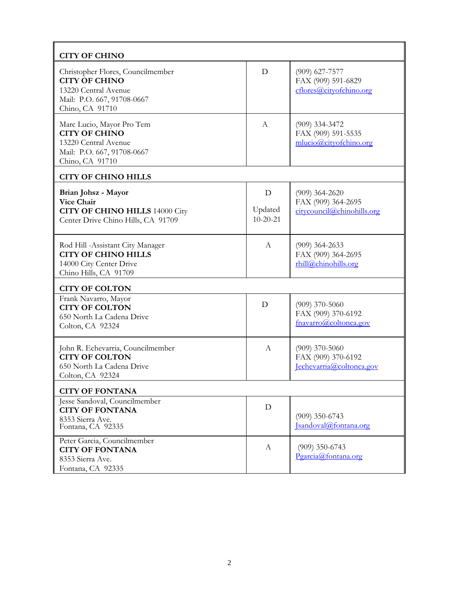| <b>CITY OF CHINO</b>                                                                                                               |                                |                                                                      |
|------------------------------------------------------------------------------------------------------------------------------------|--------------------------------|----------------------------------------------------------------------|
| Christopher Flores, Councilmember<br><b>CITY OF CHINO</b><br>13220 Central Avenue<br>Mail: P.O. 667, 91708-0667<br>Chino, CA 91710 | D                              | $(909)$ 627-7577<br>FAX (909) 591-6829<br>cflores@cityofchino.org    |
| Marc Lucio, Mayor Pro Tem<br><b>CITY OF CHINO</b><br>13220 Central Avenue<br>Mail: P.O. 667, 91708-0667<br>Chino, CA 91710         | A                              | $(909)$ 334-3472<br>FAX (909) 591-5535<br>mlucio@cityofchino.org     |
| <b>CITY OF CHINO HILLS</b>                                                                                                         |                                |                                                                      |
| Brian Johsz - Mayor<br><b>Vice Chair</b><br><b>CITY OF CHINO HILLS 14000 City</b><br>Center Drive Chino Hills, CA 91709            | D<br>Updated<br>$10 - 20 - 21$ | $(909)$ 364-2620<br>FAX (909) 364-2695<br>citycouncil@chinohills.org |
| Rod Hill -Assistant City Manager<br><b>CITY OF CHINO HILLS</b><br>14000 City Center Drive<br>Chino Hills, CA 91709                 | A                              | $(909)$ 364-2633<br>FAX (909) 364-2695<br>rhill@chinohills.org       |
| <b>CITY OF COLTON</b>                                                                                                              |                                |                                                                      |
| Frank Navarro, Mayor<br><b>CITY OF COLTON</b><br>650 North La Cadena Drive<br>Colton, CA 92324                                     | $\mathbf D$                    | $(909)$ 370-5060<br>FAX (909) 370-6192<br>fnavarro@coltonca.gov      |
| John R. Echevarria, Councilmember<br><b>CITY OF COLTON</b><br>650 North La Cadena Drive<br>Colton, CA 92324                        | A                              | $(909)$ 370-5060<br>FAX (909) 370-6192<br>Jechevarria@coltonca.gov   |
| <b>CITY OF FONTANA</b>                                                                                                             |                                |                                                                      |
| Jesse Sandoval, Councilmember<br><b>CITY OF FONTANA</b><br>8353 Sierra Ave.<br>Fontana, CA 92335                                   | D                              | $(909)$ 350-6743<br>Isandoval@fontana.org                            |
| Peter Garcia, Councilmember<br><b>CITY OF FONTANA</b><br>8353 Sierra Ave.<br>Fontana, CA 92335                                     | A                              | $(909)$ 350-6743<br>Pgarcia@fontana.org                              |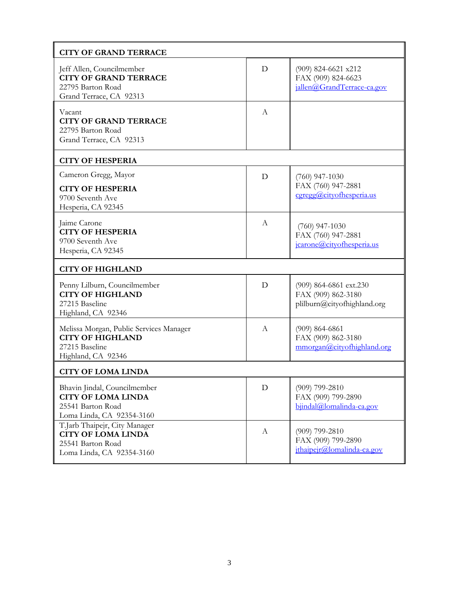| <b>CITY OF GRAND TERRACE</b>                                                                                 |              |                                                                             |
|--------------------------------------------------------------------------------------------------------------|--------------|-----------------------------------------------------------------------------|
| Jeff Allen, Councilmember<br><b>CITY OF GRAND TERRACE</b><br>22795 Barton Road<br>Grand Terrace, CA 92313    | D            | (909) 824-6621 x212<br>FAX (909) 824-6623<br>jallen@GrandTerrace-ca.gov     |
| Vacant<br><b>CITY OF GRAND TERRACE</b><br>22795 Barton Road<br>Grand Terrace, CA 92313                       | А            |                                                                             |
| <b>CITY OF HESPERIA</b>                                                                                      |              |                                                                             |
| Cameron Gregg, Mayor<br><b>CITY OF HESPERIA</b><br>9700 Seventh Ave<br>Hesperia, CA 92345                    | D            | $(760)$ 947-1030<br>FAX (760) 947-2881<br>cgregg@cityofhesperia.us          |
| Jaime Carone<br><b>CITY OF HESPERIA</b><br>9700 Seventh Ave<br>Hesperia, CA 92345                            | A            | $(760)$ 947-1030<br>FAX (760) 947-2881<br>jcarone@cityofhesperia.us         |
| <b>CITY OF HIGHLAND</b>                                                                                      |              |                                                                             |
| Penny Lilburn, Councilmember<br><b>CITY OF HIGHLAND</b><br>27215 Baseline<br>Highland, CA 92346              | D            | (909) 864-6861 ext.230<br>FAX (909) 862-3180<br>plilburn@cityofhighland.org |
| Melissa Morgan, Public Services Manager<br><b>CITY OF HIGHLAND</b><br>27215 Baseline<br>Highland, CA 92346   | A            | $(909) 864 - 6861$<br>FAX (909) 862-3180<br>mmorgan@cityofhighland.org      |
| <b>CITY OF LOMA LINDA</b>                                                                                    |              |                                                                             |
| Bhavin Jindal, Councilmember<br><b>CITY OF LOMA LINDA</b><br>25541 Barton Road<br>Loma Linda, CA 92354-3160  | D            | (909) 799-2810<br>FAX (909) 799-2890<br>bjindal@lomalinda-ca.gov            |
| T.Jarb Thaipejr, City Manager<br><b>CITY OF LOMA LINDA</b><br>25541 Barton Road<br>Loma Linda, CA 92354-3160 | $\mathbf{A}$ | $(909)$ 799-2810<br>FAX (909) 799-2890<br>jthaipejr@lomalinda-ca.gov        |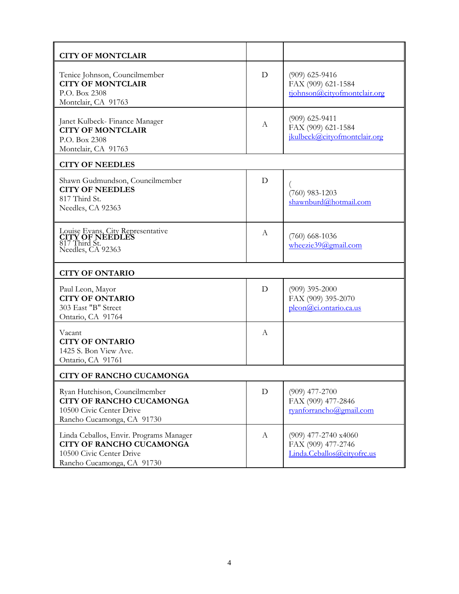| <b>CITY OF MONTCLAIR</b>                                                                                                             |   |                                                                            |  |
|--------------------------------------------------------------------------------------------------------------------------------------|---|----------------------------------------------------------------------------|--|
| Tenice Johnson, Councilmember<br><b>CITY OF MONTCLAIR</b><br>P.O. Box 2308<br>Montclair, CA 91763                                    | D | $(909)$ 625-9416<br>FAX (909) 621-1584<br>tjohnson@cityofmontclair.org     |  |
| Janet Kulbeck- Finance Manager<br><b>CITY OF MONTCLAIR</b><br>P.O. Box 2308<br>Montclair, CA 91763                                   | A | $(909)$ 625-9411<br>FAX (909) 621-1584<br>jkulbeck@cityofmontclair.org     |  |
| <b>CITY OF NEEDLES</b>                                                                                                               |   |                                                                            |  |
| Shawn Gudmundson, Councilmember<br><b>CITY OF NEEDLES</b><br>817 Third St.<br>Needles, CA 92363                                      | D | $(760)$ 983-1203<br>shawnburd@hotmail.com                                  |  |
| Louise Evans, City Representative<br>CITY OF NEEDLES<br>817 Third St.<br>Needles, CA 92363                                           | А | $(760)$ 668-1036<br>wheezie39@gmail.com                                    |  |
| <b>CITY OF ONTARIO</b>                                                                                                               |   |                                                                            |  |
| Paul Leon, Mayor<br><b>CITY OF ONTARIO</b><br>303 East "B" Street<br>Ontario, CA 91764                                               | D | $(909)$ 395-2000<br>FAX (909) 395-2070<br>pleon@ci.ontario.ca.us           |  |
| Vacant<br><b>CITY OF ONTARIO</b><br>1425 S. Bon View Ave.<br>Ontario, CA 91761                                                       | A |                                                                            |  |
| CITY OF RANCHO CUCAMONGA                                                                                                             |   |                                                                            |  |
| Ryan Hutchison, Councilmember<br><b>CITY OF RANCHO CUCAMONGA</b><br>10500 Civic Center Drive<br>Rancho Cucamonga, CA 91730           | D | $(909)$ 477-2700<br>FAX (909) 477-2846<br>ryanforrancho@gmail.com          |  |
| Linda Ceballos, Envir. Programs Manager<br><b>CITY OF RANCHO CUCAMONGA</b><br>10500 Civic Center Drive<br>Rancho Cucamonga, CA 91730 | A | $(909)$ 477-2740 x4060<br>FAX (909) 477-2746<br>Linda.Ceballos@cityofrc.us |  |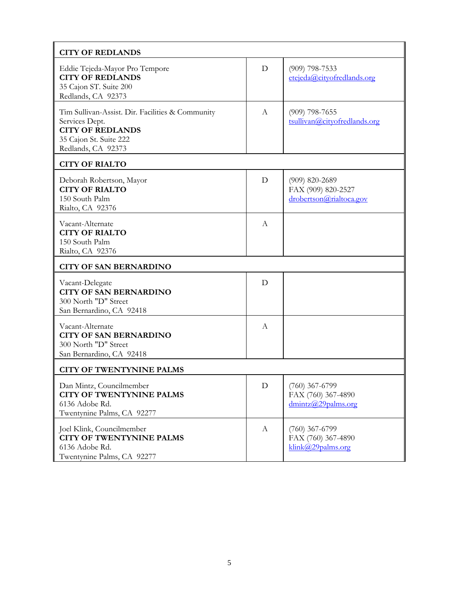| <b>CITY OF REDLANDS</b>                                                                                                                       |              |                                                                   |  |
|-----------------------------------------------------------------------------------------------------------------------------------------------|--------------|-------------------------------------------------------------------|--|
| Eddie Tejeda-Mayor Pro Tempore<br><b>CITY OF REDLANDS</b><br>35 Cajon ST. Suite 200<br>Redlands, CA 92373                                     | D            | $(909)$ 798-7533<br>etejeda@cityofredlands.org                    |  |
| Tim Sullivan-Assist. Dir. Facilities & Community<br>Services Dept.<br><b>CITY OF REDLANDS</b><br>35 Cajon St. Suite 222<br>Redlands, CA 92373 | А            | $(909)$ 798-7655<br>tsullivan@cityofredlands.org                  |  |
| <b>CITY OF RIALTO</b>                                                                                                                         |              |                                                                   |  |
| Deborah Robertson, Mayor<br><b>CITY OF RIALTO</b><br>150 South Palm<br>Rialto, CA 92376                                                       | D            | $(909)$ 820-2689<br>FAX (909) 820-2527<br>drobertson@rialtoca.gov |  |
| Vacant-Alternate<br><b>CITY OF RIALTO</b><br>150 South Palm<br>Rialto, CA 92376                                                               | A            |                                                                   |  |
| <b>CITY OF SAN BERNARDINO</b>                                                                                                                 |              |                                                                   |  |
| Vacant-Delegate<br><b>CITY OF SAN BERNARDINO</b><br>300 North "D" Street<br>San Bernardino, CA 92418                                          | D            |                                                                   |  |
| Vacant-Alternate<br><b>CITY OF SAN BERNARDINO</b><br>300 North "D" Street<br>San Bernardino, CA 92418                                         | A            |                                                                   |  |
| <b>CITY OF TWENTYNINE PALMS</b>                                                                                                               |              |                                                                   |  |
| Dan Mintz, Councilmember<br><b>CITY OF TWENTYNINE PALMS</b><br>6136 Adobe Rd.<br>Twentynine Palms, CA 92277                                   | $\mathbf D$  | $(760)$ 367-6799<br>FAX (760) 367-4890<br>dmintz@29palms.org      |  |
| Joel Klink, Councilmember<br><b>CITY OF TWENTYNINE PALMS</b><br>6136 Adobe Rd.<br>Twentynine Palms, CA 92277                                  | $\mathbf{A}$ | $(760)$ 367-6799<br>FAX (760) 367-4890<br>klink@29palms.org       |  |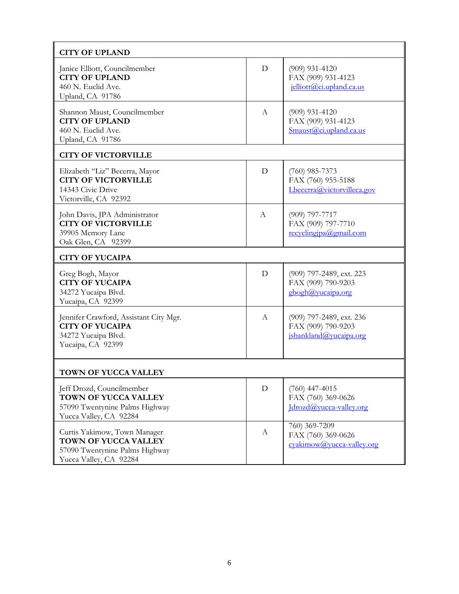| <b>CITY OF UPLAND</b>                                                                                            |                  |                                                                           |
|------------------------------------------------------------------------------------------------------------------|------------------|---------------------------------------------------------------------------|
| Janice Elliott, Councilmember<br><b>CITY OF UPLAND</b><br>460 N. Euclid Ave.<br>Upland, CA 91786                 | D                | $(909)$ 931-4120<br>FAX (909) 931-4123<br>$i$ elliott@ci.upland.ca.us     |
| Shannon Maust, Councilmember<br><b>CITY OF UPLAND</b><br>460 N. Euclid Ave.<br>Upland, CA 91786                  | A                | $(909)$ 931-4120<br>FAX (909) 931-4123<br>$S$ maust $(a)$ ci.upland.ca.us |
| <b>CITY OF VICTORVILLE</b>                                                                                       |                  |                                                                           |
| Elizabeth "Liz" Becerra, Mayor<br><b>CITY OF VICTORVILLE</b><br>14343 Civic Drive<br>Victorville, CA 92392       | D                | $(760)$ 985-7373<br>FAX (760) 955-5188<br>Lbecerra@victorvilleca.gov      |
| John Davis, JPA Administrator<br><b>CITY OF VICTORVILLE</b><br>39905 Memory Lane<br>Oak Glen, CA 92399           | A                | $(909)$ 797-7717<br>FAX (909) 797-7710<br>recyclingipa@gmail.com          |
| <b>CITY OF YUCAIPA</b>                                                                                           |                  |                                                                           |
| Greg Bogh, Mayor<br><b>CITY OF YUCAIPA</b><br>34272 Yucaipa Blvd.<br>Yucaipa, CA 92399                           | D                | (909) 797-2489, ext. 223<br>FAX (909) 790-9203<br>gbogh@yucaipa.org       |
| Jennifer Crawford, Assistant City Mgr.<br><b>CITY OF YUCAIPA</b><br>34272 Yucaipa Blvd.<br>Yucaipa, CA 92399     | $\mathsf{A}$     | (909) 797-2489, ext. 236<br>FAX (909) 790-9203<br>ishankland@vucaipa.org  |
| <b>TOWN OF YUCCA VALLEY</b>                                                                                      |                  |                                                                           |
| Jeff Drozd, Councilmember<br>TOWN OF YUCCA VALLEY<br>57090 Twentynine Palms Highway<br>Yucca Valley, CA 92284    | D                | $(760)$ 447-4015<br>FAX (760) 369-0626<br>Idrozd@yucca-valley.org         |
| Curtis Yakimow, Town Manager<br>TOWN OF YUCCA VALLEY<br>57090 Twentynine Palms Highway<br>Yucca Valley, CA 92284 | $\boldsymbol{A}$ | 760) 369-7209<br>FAX (760) 369-0626<br>cyakimow@yucca-valley.org          |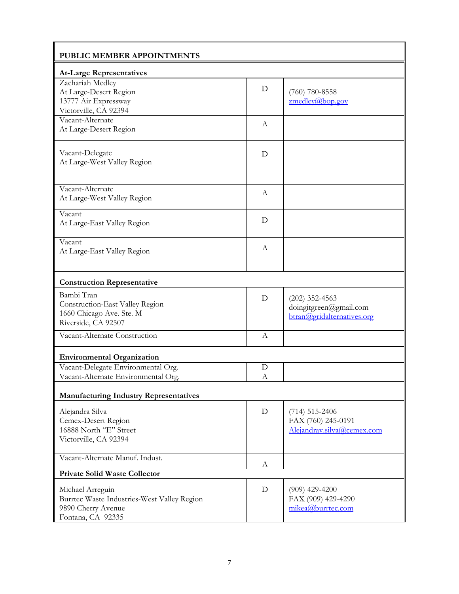| PUBLIC MEMBER APPOINTMENTS                    |              |                                            |  |
|-----------------------------------------------|--------------|--------------------------------------------|--|
| <b>At-Large Representatives</b>               |              |                                            |  |
| Zachariah Medley                              |              |                                            |  |
| At Large-Desert Region                        | D            | $(760)$ 780-8558                           |  |
| 13777 Air Expressway                          |              | $z$ medley@bop.gov                         |  |
| Victorville, CA 92394                         |              |                                            |  |
| Vacant-Alternate                              | A            |                                            |  |
| At Large-Desert Region                        |              |                                            |  |
| Vacant-Delegate                               | D            |                                            |  |
| At Large-West Valley Region                   |              |                                            |  |
|                                               |              |                                            |  |
| Vacant-Alternate                              | A            |                                            |  |
| At Large-West Valley Region                   |              |                                            |  |
| Vacant                                        |              |                                            |  |
| At Large-East Valley Region                   | D            |                                            |  |
| Vacant                                        |              |                                            |  |
| At Large-East Valley Region                   | A            |                                            |  |
|                                               |              |                                            |  |
| <b>Construction Representative</b>            |              |                                            |  |
| Bambi Tran                                    |              |                                            |  |
| Construction-East Valley Region               | D            | $(202)$ 352-4563<br>doingitgreen@gmail.com |  |
| 1660 Chicago Ave. Ste. M                      |              | btran@gridalternatives.org                 |  |
| Riverside, CA 92507                           |              |                                            |  |
| Vacant-Alternate Construction                 | $\mathbf{A}$ |                                            |  |
| <b>Environmental Organization</b>             |              |                                            |  |
| Vacant-Delegate Environmental Org.            | D            |                                            |  |
| Vacant-Alternate Environmental Org.           | $\Lambda$    |                                            |  |
| <b>Manufacturing Industry Representatives</b> |              |                                            |  |
| Alejandra Silva                               | D            | $(714) 515 - 2406$                         |  |
| Cemex-Desert Region                           |              | FAX (760) 245-0191                         |  |
| 16888 North "E" Street                        |              | Alejandrav.silva@cemex.com                 |  |
| Victorville, CA 92394                         |              |                                            |  |
|                                               |              |                                            |  |
| Vacant-Alternate Manuf. Indust.               | A            |                                            |  |
| <b>Private Solid Waste Collector</b>          |              |                                            |  |
| Michael Arreguin                              | D            | $(909)$ 429-4200                           |  |
| Burrtec Waste Industries-West Valley Region   |              | FAX (909) 429-4290                         |  |
| 9890 Cherry Avenue                            |              | mikea@burrtec.com                          |  |
| Fontana, CA 92335                             |              |                                            |  |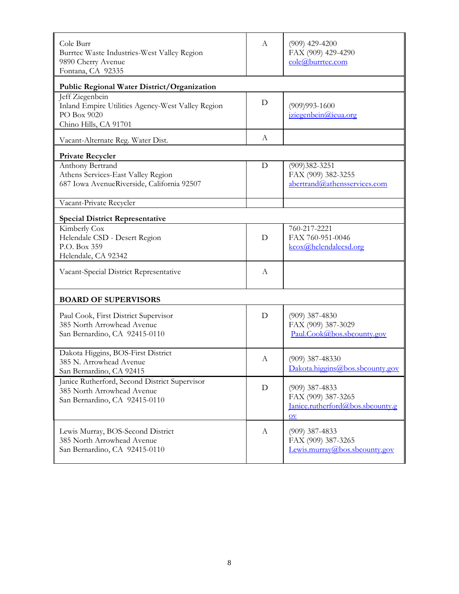| Cole Burr<br>Burrtec Waste Industries-West Valley Region<br>9890 Cherry Avenue<br>Fontana, CA 92335          | A | $(909)$ 429-4200<br>FAX (909) 429-4290<br>cole@burrtec.com                                           |
|--------------------------------------------------------------------------------------------------------------|---|------------------------------------------------------------------------------------------------------|
| Public Regional Water District/Organization                                                                  |   |                                                                                                      |
| Jeff Ziegenbein<br>Inland Empire Utilities Agency-West Valley Region<br>PO Box 9020<br>Chino Hills, CA 91701 | D | $(909)993 - 1600$<br>iziegenbein@ieua.org                                                            |
| Vacant-Alternate Reg. Water Dist.                                                                            | A |                                                                                                      |
| <b>Private Recycler</b>                                                                                      |   |                                                                                                      |
| Anthony Bertrand<br>Athens Services-East Valley Region<br>687 Iowa AvenueRiverside, California 92507         | D | $(909)382 - 3251$<br>FAX (909) 382-3255<br>abertrand@athensservices.com                              |
| Vacant-Private Recycler                                                                                      |   |                                                                                                      |
| <b>Special District Representative</b>                                                                       |   |                                                                                                      |
| Kimberly Cox<br>Helendale CSD - Desert Region<br>P.O. Box 359<br>Helendale, CA 92342                         | D | 760-217-2221<br>FAX 760-951-0046<br>kcox@helendalecsd.org                                            |
| Vacant-Special District Representative                                                                       | А |                                                                                                      |
| <b>BOARD OF SUPERVISORS</b>                                                                                  |   |                                                                                                      |
| Paul Cook, First District Supervisor<br>385 North Arrowhead Avenue<br>San Bernardino, CA 92415-0110          | D | $(909)$ 387-4830<br>FAX (909) 387-3029<br>Paul.Cook@bos.sbcounty.gov                                 |
| Dakota Higgins, BOS-First District<br>385 N. Arrowhead Avenue<br>San Bernardino, CA 92415                    | А | $(909)$ 387-48330<br>Dakota.higgins@bos.sbcounty.gov                                                 |
| Janice Rutherford, Second District Supervisor<br>385 North Arrowhead Avenue<br>San Bernardino, CA 92415-0110 | D | $(909)$ 387-4833<br>FAX (909) 387-3265<br>Janice.rutherford@bos.sbcounty.g<br>$\overline{\text{OV}}$ |
| Lewis Murray, BOS-Second District<br>385 North Arrowhead Avenue<br>San Bernardino, CA 92415-0110             | A | $(909)$ 387-4833<br>FAX (909) 387-3265<br>Lewis.murray@bos.sbcounty.gov                              |